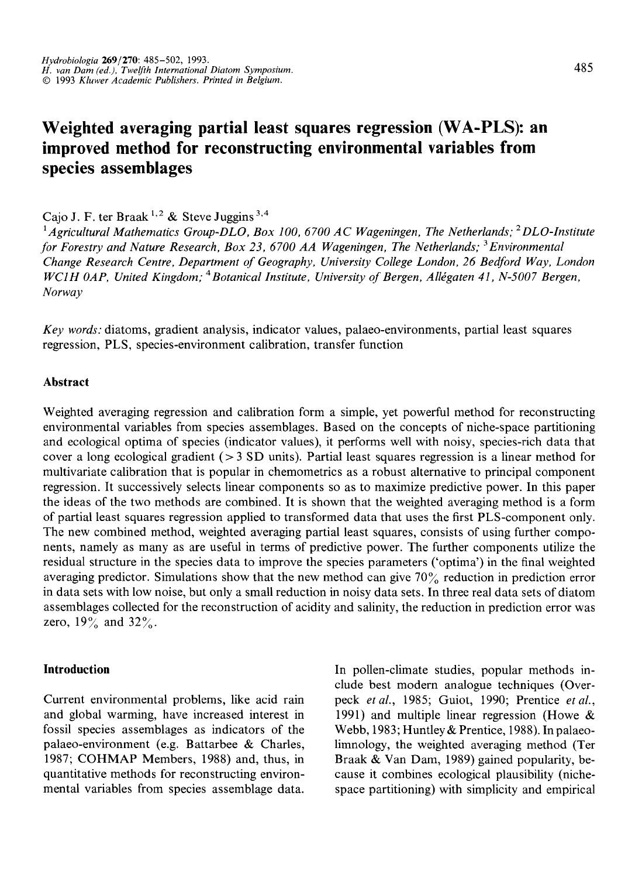# **Weighted averaging partial least squares regression (WA-PLS): an improved method for reconstructing environmental variables from species assemblages**

# Cajo J. F. ter Braak  $^{1,2}$  & Steve Juggins  $^{3,4}$

<sup>1</sup> Agricultural Mathematics Group-DLO, Box 100, 6700 AC Wageningen, The Netherlands; <sup>2</sup> DLO-Institute *for Forestry and Nature Research, Box 23, 6700 AA Wageningen, The Netherlands;* <sup>3</sup>*Environmental Change Research Centre, Department of Geography, University College London, 26 Bedford Way, London WCJH OAP, United Kingdom; <sup>4</sup> Botanical Institute, University of Bergen, Allegaten 41, N-5007 Bergen, Norway* 

*Key words:* diatoms, gradient analysis, indicator values, palaeo-environments, partial least squares regression, PLS, species-environment calibration, transfer function

## **Abstract**

Weighted averaging regression and calibration form a simple, yet powerful method for reconstructing environmental variables from species assemblages. Based on the concepts of niche-space partitioning and ecological optima of species (indicator values), it performs well with noisy, species-rich data that cover a long ecological gradient ( $>$ 3 SD units). Partial least squares regression is a linear method for multivariate calibration that is popular in chemometrics as a robust alternative to principal component regression. It successively selects linear components so as to maximize predictive power. In this paper the ideas of the two methods are combined. It is shown that the weighted averaging method is a form of partial least squares regression applied to transformed data that uses the first PLS-component only. The new combined method, weighted averaging partial least squares, consists of using further components, namely as many as are useful in terms of predictive power. The further components utilize the residual structure in the species data to improve the species parameters ('optima') in the final weighted averaging predictor. Simulations show that the new method can give 70% reduction in prediction error in data sets with low noise, but only a small reduction in noisy data sets. In three real data sets of diatom assemblages collected for the reconstruction of acidity and salinity, the reduction in prediction error was zero,  $19\%$  and  $32\%$ .

## **Introduction**

Current environmental problems, like acid rain and global warming, have increased interest in fossil species assemblages as indicators of the palaeo-environment (e.g. Battarbee & Charles, 1987; COHMAP Members, 1988) and, thus, in quantitative methods for reconstructing environmental variables from species assemblage data.

In pollen-climate studies, popular methods include best modern analogue techniques (Overpeck *et al.,* 1985; Guiot, 1990; Prentice *et al.,*  1991) and multiple linear regression (Howe & Webb, 1983; Huntley & Prentice, 1988). In palaeolimnology, the weighted averaging method (Ter Braak & Van Dam, 1989) gained popularity, because it combines ecological plausibility (nichespace partitioning) with simplicity and empirical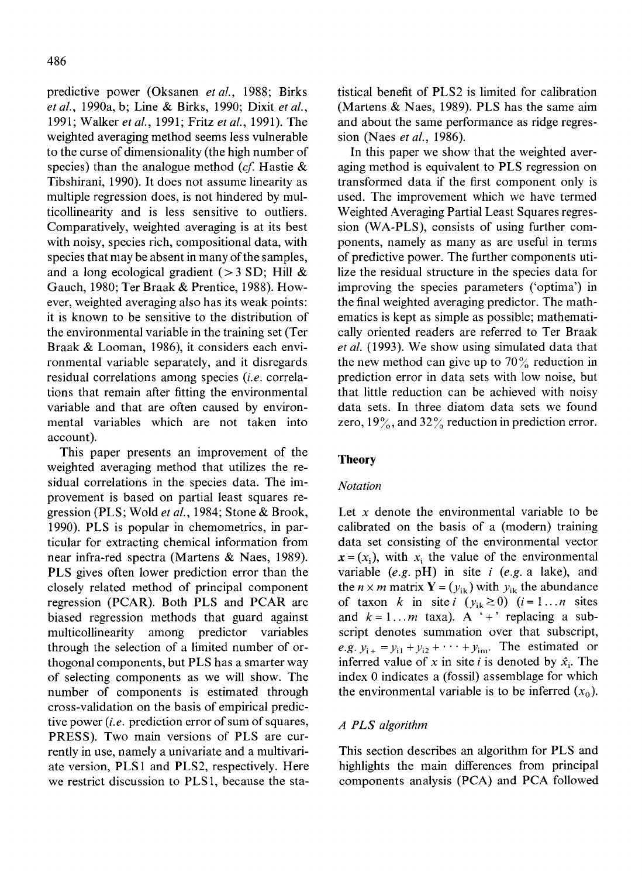predictive power (Oksanen *eta!.,* 1988; Birks *eta!.,* 1990a, b; Line & Birks, 1990; Dixit *eta!.,*  1991; Walker *eta!.,* 1991; Fritz *eta!.,* 1991). The weighted averaging method seems less vulnerable to the curse of dimensionality (the high number of species) than the analogue method  $(cf.$  Hastie  $\&$ Tibshirani, 1990). It does not assume linearity as multiple regression does, is not hindered by multicollinearity and is less sensitive to outliers. Comparatively, weighted averaging is at its best with noisy, species rich, compositional data, with species that may be absent in many of the samples, and a long ecological gradient ( $>$ 3 SD; Hill & Gauch, 1980; Ter Braak & Prentice, 1988). However, weighted averaging also has its weak points: it is known to be sensitive to the distribution of the environmental variable in the training set (Ter Braak & Looman, 1986), it considers each environmental variable separately, and it disregards residual correlations among species *(i.e.* correlations that remain after fitting the environmental variable and that are often caused by environmental variables which are not taken into account).

This paper presents an improvement of the weighted averaging method that utilizes the residual correlations in the species data. The improvement is based on partial least squares regression (PLS; Wold *eta!.,* 1984; Stone & Brook, 1990). PLS is popular in chemometrics, in particular for extracting chemical information from near infra-red spectra (Martens & Naes, 1989). PLS gives often lower prediction error than the closely related method of principal component regression (PCAR). Both PLS and PCAR are biased regression methods that guard against multicollinearity among predictor variables through the selection of a limited number of orthogonal components, but PLS has a smarter way of selecting components as we will show. The number of components is estimated through cross-validation on the basis of empirical predictive power *(i.e.* prediction error of sum of squares, PRESS). Two main versions of PLS are currently in use, namely a univariate and a multivariate version, PLS1 and PLS2, respectively. Here we restrict discussion to PLS 1, because the statistical benefit of PLS2 is limited for calibration (Martens & Naes, 1989). PLS has the same aim and about the same performance as ridge regression (Naes *eta!.,* 1986).

In this paper we show that the weighted averaging method is equivalent to PLS regression on transformed data if the first component only is used. The improvement which we have termed Weighted Averaging Partial Least Squares regression (WA-PLS), consists of using further components, namely as many as are useful in terms of predictive power. The further components utilize the residual structure in the species data for improving the species parameters ('optima') in the final weighted averaging predictor. The mathematics is kept as simple as possible; mathematically oriented readers are referred to Ter Braak et al. (1993). We show using simulated data that the new method can give up to  $70\%$  reduction in prediction error in data sets with low noise, but that little reduction can be achieved with noisy data sets. In three diatom data sets we found zero,  $19\%$ , and  $32\%$  reduction in prediction error.

# **Theory**

# *Notation*

Let *x* denote the environmental variable to be calibrated on the basis of a (modern) training data set consisting of the environmental vector  $x = (x_i)$ , with  $x_i$  the value of the environmental variable *(e.g.* pH) in site i *(e.g.* a lake), and the  $n \times m$  matrix  $Y = (y_{ik})$  with  $y_{ik}$  the abundance of taxon *k* in site *i*  $(y_{ik} \ge 0)$   $(i = 1...n$  sites and  $k = 1...m$  taxa). A '+' replacing a subscript denotes summation over that subscript, *e.g.*  $y_{i+} = y_{i1} + y_{i2} + \cdots + y_{im}$ . The estimated or inferred value of x in site i is denoted by  $\hat{x}_i$ . The index 0 indicates a (fossil) assemblage for which the environmental variable is to be inferred  $(x_0)$ .

# *A PLS algorithm*

This section describes an algorithm for PLS and highlights the main differences from principal components analysis (PCA) and PCA followed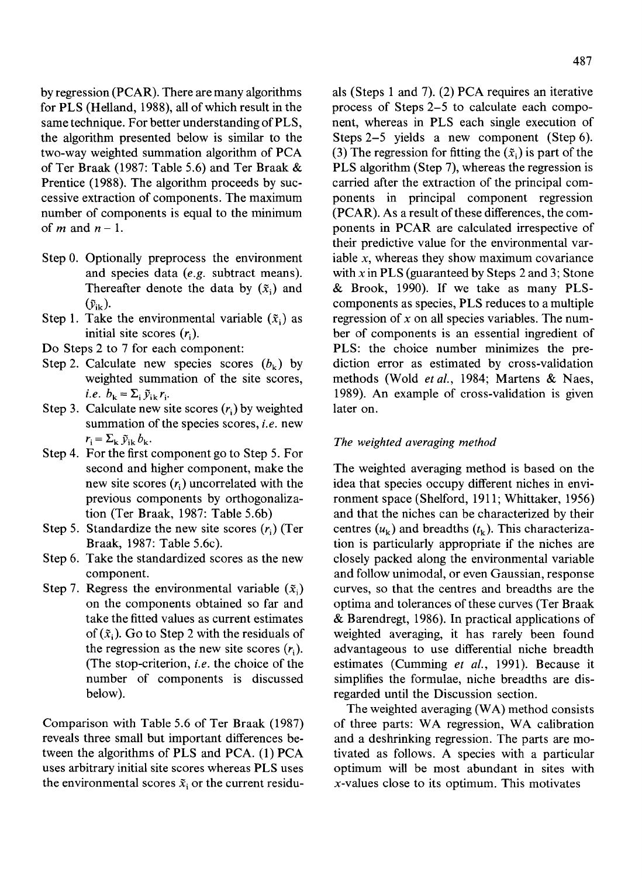487

by regression (PCAR). There are many algorithms for PLS (Helland, 1988), all of which result in the same technique. For better understanding of PLS, the algorithm presented below is similar to the two-way weighted summation algorithm of PCA of Ter Braak (1987: Table 5.6) and Ter Braak & Prentice (1988). The algorithm proceeds by successive extraction of components. The maximum number of components is equal to the minimum of *m* and  $n-1$ .

- Step 0. Optionally preprocess the environment and species data *(e.g.* subtract means). Thereafter denote the data by  $(\tilde{x}_i)$  and  $(\tilde{y}_{ik})$ .
- Step 1. Take the environmental variable  $(\tilde{x}_i)$  as initial site scores  $(r_i)$ .
- Do Steps 2 to 7 for each component:
- Step 2. Calculate new species scores  $(b_k)$  by weighted summation of the site scores, *i.e.*  $b_k = \sum_i \tilde{y}_{ik} r_i$ .
- Step 3. Calculate new site scores  $(r_i)$  by weighted summation of the species scores, *i.e.* new  $r_i = \sum_{\mathbf{k}} \tilde{y}_{ik} b_{\mathbf{k}}.$
- Step 4. For the first component go to Step 5. For second and higher component, make the new site scores  $(r_i)$  uncorrelated with the previous components by orthogonalization (Ter Braak, 1987: Table 5.6b)
- Step 5. Standardize the new site scores  $(r_i)$  (Ter Braak, 1987: Table 5.6c).
- Step 6. Take the standardized scores as the new component.
- Step 7. Regress the environmental variable  $(\tilde{x}_i)$ on the components obtained so far and take the fitted values as current estimates of  $(\tilde{x}_i)$ . Go to Step 2 with the residuals of the regression as the new site scores  $(r<sub>i</sub>)$ . (The stop-criterion, *i.e.* the choice of the number of components is discussed below).

Comparison with Table 5.6 of Ter Braak (1987) reveals three small but important differences between the algorithms of PLS and PCA. (1) PCA uses arbitrary initial site scores whereas PLS uses the environmental scores  $\tilde{x}_i$  or the current residuals (Steps 1 and 7). (2) PCA requires an iterative process of Steps 2-5 to calculate each component, whereas in PLS each single execution of Steps 2-5 yields a new component (Step 6). (3) The regression for fitting the  $(\tilde{x}_i)$  is part of the PLS algorithm (Step 7), whereas the regression is carried after the extraction of the principal components in principal component regression (PCAR). As a result of these differences, the components in PCAR are calculated irrespective of their predictive value for the environmental variable *x,* whereas they show maximum covariance with *x* in PLS (guaranteed by Steps 2 and 3; Stone & Brook, 1990). If we take as many PLScomponents as species, PLS reduces to a multiple regression of *x* on all species variables. The number of components is an essential ingredient of PLS: the choice number minimizes the prediction error as estimated by cross-validation methods (Wold et al., 1984; Martens & Naes, 1989). An example of cross-validation is given later on.

# *The weighted averaging method*

The weighted averaging method is based on the idea that species occupy different niches in environment space (Shelford, 1911; Whittaker, 1956) and that the niches can be characterized by their centres  $(u_k)$  and breadths  $(t_k)$ . This characterization is particularly appropriate if the niches are closely packed along the environmental variable and follow unimodal, or even Gaussian, response curves, so that the centres and breadths are the optima and tolerances of these curves (Ter Braak & Barendregt, 1986). In practical applications of weighted averaging, it has rarely been found advantageous to use differential niche breadth estimates (Cumming *et a/.,* 1991). Because it simplifies the formulae, niche breadths are disregarded until the Discussion section.

The weighted averaging (WA) method consists of three parts: WA regression, WA calibration and a deshrinking regression. The parts are motivated as follows. A species with a particular optimum will be most abundant in sites with  $x$ -values close to its optimum. This motivates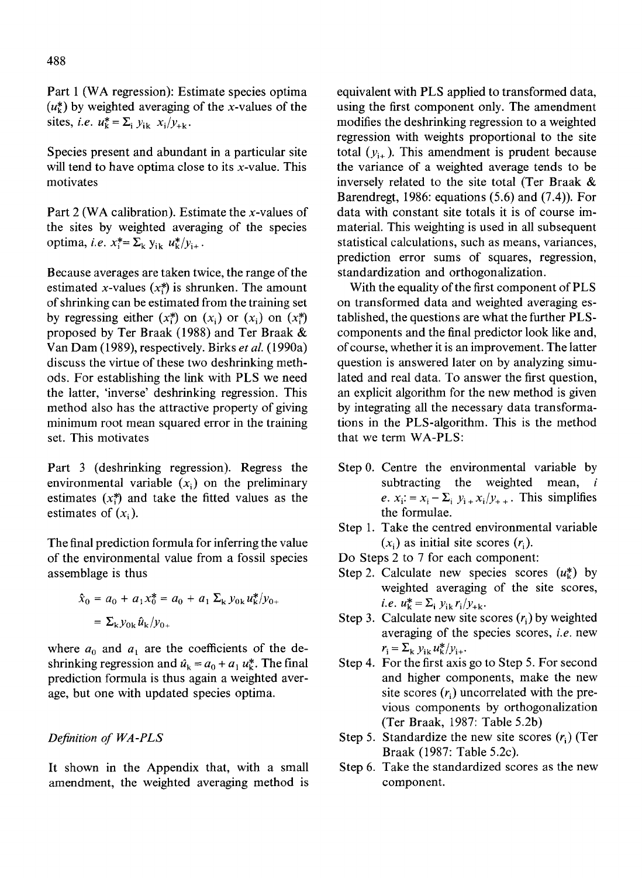Part 1 (WA regression): Estimate species optima  $(u<sub>k</sub><sup>*</sup>)$  by weighted averaging of the x-values of the sites, *i.e.*  $u_{\mathbf{k}}^* = \sum_i y_{i\mathbf{k}} x_i / y_{+\mathbf{k}}$ .

Species present and abundant in a particular site will tend to have optima close to its  $x$ -value. This motivates

Part 2 (WA calibration). Estimate the x-values of the sites by weighted averaging of the species optima, *i.e.*  $x_i^* = \sum_k y_{ik} u_k^* / y_{i+}$ .

Because averages are taken twice, the range of the estimated x-values  $(x_i^*)$  is shrunken. The amount of shrinking can be estimated from the training set by regressing either  $(x_i^*)$  on  $(x_i)$  or  $(x_i)$  on  $(x_i^*)$ proposed by Ter Braak (1988) and Ter Braak & Van Dam (1989), respectively. Birks *eta/.* (1990a) discuss the virtue of these two deshrinking methods. For establishing the link with PLS we need the latter, 'inverse' deshrinking regression. This method also has the attractive property of giving minimum root mean squared error in the training set. This motivates

Part 3 (deshrinking regression). Regress the environmental variable  $(x_i)$  on the preliminary estimates  $(x<sub>i</sub><sup>*</sup>)$  and take the fitted values as the estimates of  $(x_i)$ .

The final prediction formula for inferring the value of the environmental value from a fossil species assemblage is thus

$$
\hat{x}_0 = a_0 + a_1 x_0^* = a_0 + a_1 \Sigma_k y_{0k} u_k^* / y_{0+}
$$
  
=  $\Sigma_k y_{0k} \hat{u}_k / y_{0+}$ 

where  $a_0$  and  $a_1$  are the coefficients of the deshrinking regression and  $\hat{u}_k = a_0 + a_1 u_k^*$ . The final prediction formula is thus again a weighted average, but one with updated species optima.

# *Definition of WA-PLS*

It shown in the Appendix that, with a small amendment, the weighted averaging method is equivalent with PLS applied to transformed data, using the first component only. The amendment modifies the deshrinking regression to a weighted regression with weights proportional to the site total  $(y_{i+})$ . This amendment is prudent because the variance of a weighted average tends to be inversely related to the site total (Ter Braak & Barendregt, 1986: equations (5.6) and (7.4)). For data with constant site totals it is of course immaterial. This weighting is used in all subsequent statistical calculations, such as means, variances, prediction error sums of squares, regression, standardization and orthogonalization.

With the equality of the first component of PLS on transformed data and weighted averaging established, the questions are what the further PLScomponents and the final predictor look like and, of course, whether it is an improvement. The latter question is answered later on by analyzing simulated and real data. To answer the first question, an explicit algorithm for the new method is given by integrating all the necessary data transformations in the PLS-algorithm. This is the method that we term WA-PLS:

- Step 0. Centre the environmental variable by subtracting the weighted mean, e.  $x_i$ : =  $x_i - \sum_i y_i + x_i/y_{i+1}$ . This simplifies the formulae.
- Step 1. Take the centred environmental variable  $(x_i)$  as initial site scores  $(r_i)$ .
- Do Steps 2 to 7 for each component:
- Step 2. Calculate new species scores  $(u_k^*)$  by weighted averaging of the site scores, *i.e.*  $u_k^* = \sum_i y_{ik} r_i / y_{+k}$ .
- Step 3. Calculate new site scores  $(r_i)$  by weighted averaging of the species scores, *i.e.* new  $r_i = \sum_{k} y_{ik} u_k^* / y_{i+}.$
- Step 4. For the first axis go to Step 5. For second and higher components, make the new site scores  $(r<sub>i</sub>)$  uncorrelated with the previous components by orthogonalization (Ter Braak, 1987: Table 5.2b)
- Step 5. Standardize the new site scores  $(r_i)$  (Ter Braak (1987: Table 5.2c).
- Step 6. Take the standardized scores as the new component.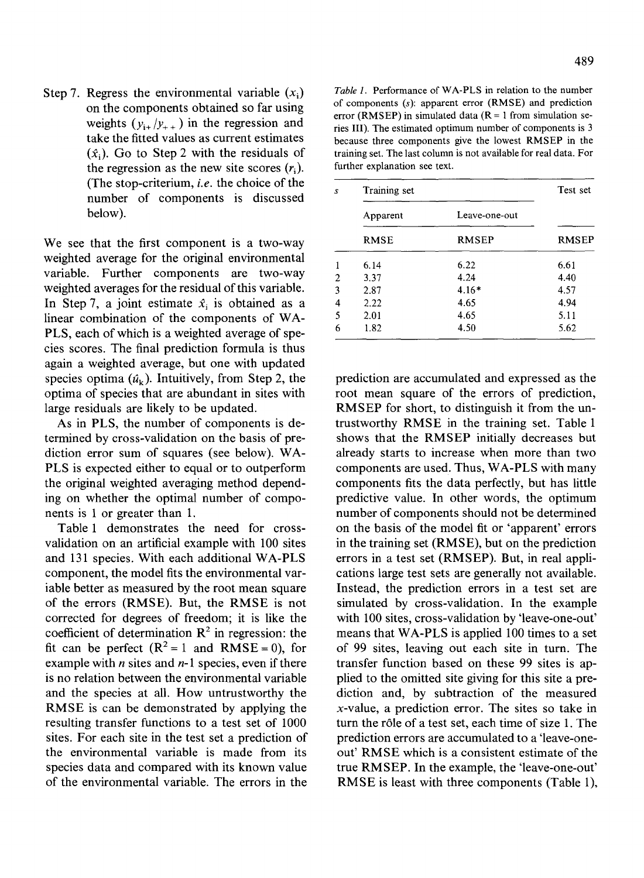Step 7. Regress the environmental variable  $(x_i)$ on the components obtained so far using weights  $(y_{i+}/y_{++})$  in the regression and take the fitted values as current estimates  $(\hat{x}_i)$ . Go to Step 2 with the residuals of the regression as the new site scores  $(r_i)$ . (The stop-criterium, *i.e.* the choice of the number of components is discussed below).

We see that the first component is a two-way weighted average for the original environmental variable. Further components are two-way weighted averages for the residual of this variable. In Step 7, a joint estimate  $\hat{x}_i$  is obtained as a linear combination of the components of WA-PLS, each of which is a weighted average of species scores. The final prediction formula is thus again a weighted average, but one with updated species optima  $(\hat{u}_k)$ . Intuitively, from Step 2, the optima of species that are abundant in sites with large residuals are likely to be updated.

As in PLS, the number of components is determined by cross-validation on the basis of prediction error sum of squares (see below). WA-PLS is expected either to equal or to outperform the original weighted averaging method depending on whether the optimal number of components is 1 or greater than 1.

Table 1 demonstrates the need for crossvalidation on an artificial example with 100 sites and 131 species. With each additional WA-PLS component, the model fits the environmental variable better as measured by the root mean square of the errors (RMSE). But, the RMSE is not corrected for degrees of freedom; it is like the coefficient of determination  $\mathbb{R}^2$  in regression: the fit can be perfect  $(R^2 = 1$  and  $RMSE = 0$ ), for example with *n* sites and *n*-1 species, even if there is no relation between the environmental variable and the species at all. How untrustworthy the RMSE is can be demonstrated by applying the resulting transfer functions to a test set of 1000 sites. For each site in the test set a prediction of the environmental variable is made from its species data and compared with its known value of the environmental variable. The errors in the

*Table 1.* Performance of WA-PLS in relation to the number of components (s): apparent error (RMSE) and prediction error (RMSEP) in simulated data ( $R = 1$  from simulation series III). The estimated optimum number of components is 3 because three components give the lowest RMSEP in the training set. The last column is not available for real data. For further explanation see text.

| s | Training set | Test set      |       |  |
|---|--------------|---------------|-------|--|
|   | Apparent     | Leave-one-out |       |  |
|   | <b>RMSE</b>  | RMSEP         | RMSEP |  |
|   | 6.14         | 6.22          | 6.61  |  |
| 2 | 3.37         | 4.24          | 4.40  |  |
| 3 | 2.87         | $4.16*$       | 4.57  |  |
| 4 | 2.22         | 4.65          | 4.94  |  |
| 5 | 2.01         | 4.65          | 5.11  |  |
| 6 | 1.82         | 4.50          | 5.62  |  |

prediction are accumulated and expressed as the root mean square of the errors of prediction, RMSEP for short, to distinguish it from the untrustworthy RMSE in the training set. Table 1 shows that the RMSEP initially decreases but already starts to increase when more than two components are used. Thus, WA-PLS with many components fits the data perfectly, but has little predictive value. In other words, the optimum number of components should not be determined on the basis of the model fit or 'apparent' errors in the training set (RMSE), but on the prediction errors in a test set (RMSEP). But, in real applications large test sets are generally not available. Instead, the prediction errors in a test set are simulated by cross-validation. In the example with 100 sites, cross-validation by 'leave-one-out' means that WA-PLS is applied 100 times to a set of 99 sites, leaving out each site in tum. The transfer function based on these 99 sites is applied to the omitted site giving for this site a prediction and, by subtraction of the measured x-value, a prediction error. The sites so take in turn the rôle of a test set, each time of size 1. The prediction errors are accumulated to a 'leave-oneout' RMSE which is a consistent estimate of the true RMSEP. In the example, the 'leave-one-out' RMSE is least with three components (Table 1),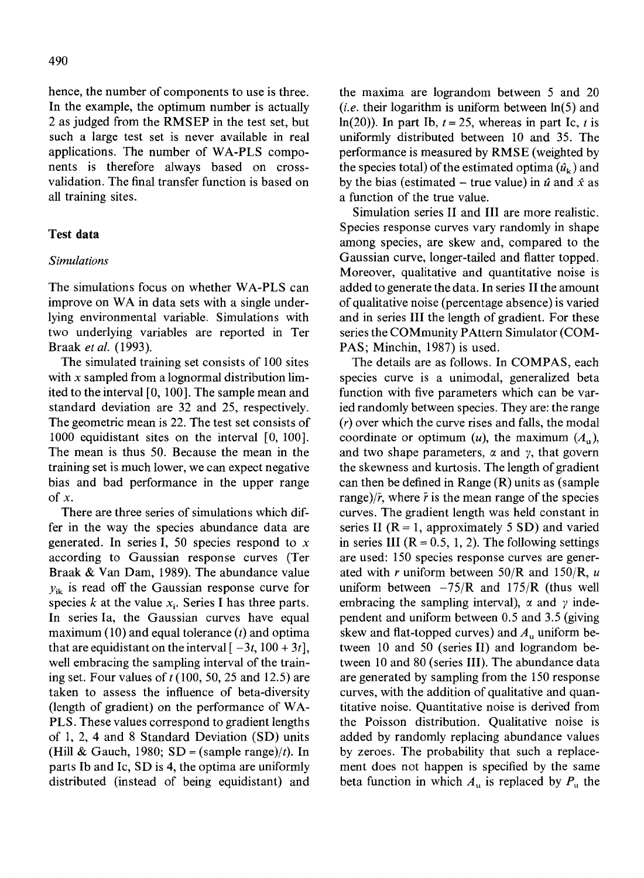hence, the number of components to use is three. In the example, the optimum number is actually 2 as judged from the RMSEP in the test set, but such a large test set is never available in real applications. The number of WA-PLS components is therefore always based on crossvalidation. The final transfer function is based on all training sites.

## Test **data**

#### *Simulations*

The simulations focus on whether WA-PLS can improve on WA in data sets with a single underlying environmental variable. Simulations with two underlying variables are reported in Ter Braak *eta!.* (1993).

The simulated training set consists of 100 sites with *x* sampled from a lognormal distribution limited to the interval  $[0, 100]$ . The sample mean and standard deviation are 32 and 25, respectively. The geometric mean is 22. The test set consists of 1000 equidistant sites on the interval [0, 100]. The mean is thus 50. Because the mean in the training set is much lower, we can expect negative bias and bad performance in the upper range of *x.* 

There are three series of simulations which differ in the way the species abundance data are generated. In series I, 50 species respond to *x*  according to Gaussian response curves (Ter Braak & Van Dam, 1989). The abundance value  $y_{ik}$  is read off the Gaussian response curve for species k at the value  $x_i$ . Series I has three parts. In series Ia, the Gaussian curves have equal maximum (10) and equal tolerance *(t)* and optima that are equidistant on the interval  $[-3t, 100 + 3t]$ , well embracing the sampling interval of the training set. Four values of  $t(100, 50, 25, 25)$  are taken to assess the influence of beta-diversity (length of gradient) on the performance of WA-PLS. These values correspond to gradient lengths of 1, 2, 4 and 8 Standard Deviation (SD) units (Hill & Gauch, 1980; SD = (sample range)/t). In parts lb and Ic, SD is 4, the optima are uniformly distributed (instead of being equidistant) and

the maxima are lograndom between 5 and 20 *(i.e.* their logarithm is uniform between ln(5) and ln(20)). In part Ib,  $t = 25$ , whereas in part Ic,  $t$  is uniformly distributed between 10 and 35. The performance is measured by RMSE (weighted by the species total) of the estimated optima  $(\hat{u}_k)$  and by the bias (estimated – true value) in  $\hat{u}$  and  $\hat{x}$  as a function of the true value.

Simulation series II and III are more realistic. Species response curves vary randomly in shape among species, are skew and, compared to the Gaussian curve, longer-tailed and flatter topped. Moreover, qualitative and quantitative noise is added to generate the data. In series II the amount of qualitative noise (percentage absence) is varied and in series III the length of gradient. For these series the COMmunity PAttern Simulator (COMpAS; Minchin, 1987) is used.

The details are as follows. In COMPAS, each species curve is a unimodal, generalized beta function with five parameters which can be varied randomly between species. They are: the range (r) over which the curve rises and falls, the modal coordinate or optimum  $(u)$ , the maximum  $(A<sub>u</sub>)$ , and two shape parameters,  $\alpha$  and  $\gamma$ , that govern the skewness and kurtosis. The length of gradient can then be defined in Range (R) units as (sample range)/ $\bar{r}$ , where  $\bar{r}$  is the mean range of the species curves. The gradient length was held constant in series II ( $R = 1$ , approximately 5 SD) and varied in series III ( $R = 0.5, 1, 2$ ). The following settings are used: 150 species response curves are generated with r uniform between  $50/R$  and  $150/R$ , u uniform between  $-75/R$  and  $175/R$  (thus well embracing the sampling interval),  $\alpha$  and  $\gamma$  independent and uniform between 0.5 and 3.5 (giving skew and flat-topped curves) and *Au* uniform between 10 and 50 (series II) and lograndom between 10 and 80 (series III). The abundance data are generated by sampling from the 150 response curves, with the addition of qualitative and quantitative noise. Quantitative noise is derived from the Poisson distribution. Qualitative noise is added by randomly replacing abundance values by zeroes. The probability that such a replacement does not happen is specified by the same beta function in which  $A_u$  is replaced by  $P_u$  the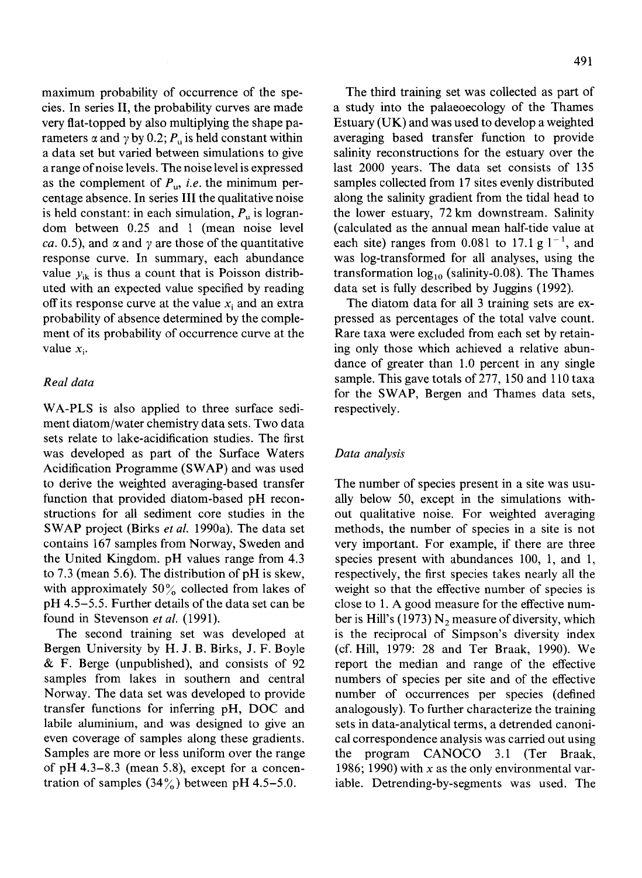maximum probability of occurrence of the species. In series II, the probability curves are made very flat-topped by also multiplying the shape parameters  $\alpha$  and  $\gamma$  by 0.2;  $P_{\mu}$  is held constant within a data set but varied between simulations to give a range of noise levels. The noise level is expressed as the complement of  $P_{\mu}$ , *i.e.* the minimum percentage absence. In series III the qualitative noise is held constant: in each simulation,  $P_{\mu}$  is lograndom between 0.25 and 1 (mean noise level *ca.* 0.5), and  $\alpha$  and  $\gamma$  are those of the quantitative response curve. In summary, each abundance value  $y_{ik}$  is thus a count that is Poisson distributed with an expected value specified by reading off its response curve at the value  $x_i$  and an extra probability of absence determined by the complement of its probability of occurrence curve at the value  $x_i$ .

# *Real data*

WA-PLS is also applied to three surface sediment diatom/water chemistry data sets. Two data sets relate to lake-acidification studies. The first was developed as part of the Surface Waters Acidification Programme (SWAP) and was used to derive the weighted averaging-based transfer function that provided diatom-based pH reconstructions for all sediment core studies in the SWAP project (Birks *eta/.* 1990a). The data set contains 167 samples from Norway, Sweden and the United Kingdom. pH values range from 4.3 to 7.3 (mean 5.6). The distribution of pH is skew, with approximately  $50\%$  collected from lakes of pH 4.5-5.5. Further details of the data set can be found in Stevenson et al. (1991).

The second training set was developed at Bergen University by H. J. B. Birks, J. F. Boyle & F. Berge (unpublished), and consists of 92 samples from lakes in southern and central Norway. The data set was developed to provide transfer functions for inferring pH, DOC and labile aluminium, and was designed to give an even coverage of samples along these gradients. Samples are more or less uniform over the range of pH 4.3-8.3 (mean 5.8), except for a concentration of samples  $(34\%)$  between pH 4.5–5.0.

The third training set was collected as part of a study into the palaeoecology of the Thames Estuary (UK) and was used to develop a weighted averaging based transfer function to provide salinity reconstructions for the estuary over the last 2000 years. The data set consists of 135 samples collected from 17 sites evenly distributed along the salinity gradient from the tidal head to the lower estuary, 72 km downstream. Salinity (calculated as the annual mean half-tide value at each site) ranges from  $0.081$  to  $17.1$  g  $1^{-1}$ , and was log-transformed for all analyses, using the transformation  $log_{10}$  (salinity-0.08). The Thames data set is fully described by Juggins (1992).

The diatom data for all 3 training sets are expressed as percentages of the total valve count. Rare taxa were excluded from each set by retaining only those which achieved a relative abundance of greater than 1.0 percent in any single sample. This gave totals of 277, 150 and 110 taxa for the SWAP, Bergen and Thames data sets, respectively.

## *Data analysis*

The number of species present in a site was usually below 50, except in the simulations without qualitative noise. For weighted averaging methods, the number of species in a site is not very important. For example, if there are three species present with abundances 100, 1, and 1, respectively, the first species takes nearly all the weight so that the effective number of species is close to 1. A good measure for the effective number is Hill's (1973)  $N_2$  measure of diversity, which is the reciprocal of Simpson's diversity index (cf. Hill, 1979: 28 and Ter Braak, 1990). We report the median and range of the effective numbers of species per site and of the effective number of occurrences per species (defined analogously). To further characterize the training sets in data-analytical terms, a detrended canonical correspondence analysis was carried out using the program CANOCO 3.1 (Ter Braak, 1986; 1990) with *x* as the only environmental variable. Detrending-by-segments was used. The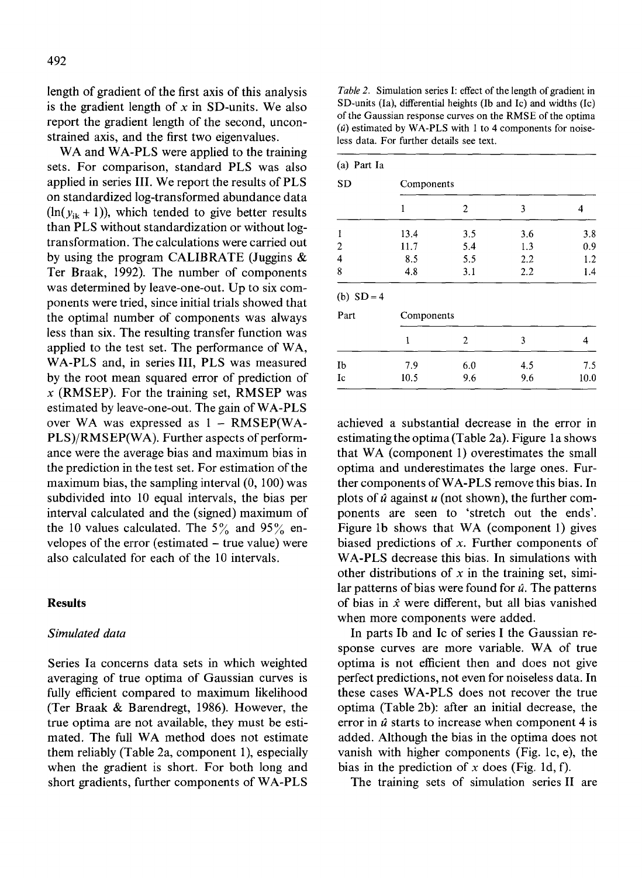492

length of gradient of the first axis of this analysis is the gradient length of *x* in SD-units. We also report the gradient length of the second, unconstrained axis, and the first two eigenvalues.

WA and WA-PLS were applied to the training sets. For comparison, standard PLS was also applied in series III. We report the results of PLS on standardized log-transformed abundance data  $(ln(y_{ik} + 1))$ , which tended to give better results than PLS without standardization or without logtransformation. The calculations were carried out by using the program CALIBRATE (Juggins & Ter Braak, 1992). The number of components was determined by leave-one-out. Up to six components were tried, since initial trials showed that the optimal number of components was always less than six. The resulting transfer function was applied to the test set. The performance of WA, WA-PLS and, in series III, PLS was measured by the root mean squared error of prediction of *x* (RMSEP). For the training set, RMSEP was estimated by leave-one-out. The gain ofWA-PLS over WA was expressed as  $1 - RMSEP(WA-$ PLS)/RMSEP(WA). Further aspects of performance were the average bias and maximum bias in the prediction in the test set. For estimation of the maximum bias, the sampling interval (0, 100) was subdivided into 10 equal intervals, the bias per interval calculated and the (signed) maximum of the 10 values calculated. The  $5\%$  and  $95\%$  envelopes of the error (estimated - true value) were also calculated for each of the 10 intervals.

# **Results**

## *Simulated data*

Series Ia concerns data sets in which weighted averaging of true optima of Gaussian curves is fully efficient compared to maximum likelihood (Ter Braak & Barendregt, 1986). However, the true optima are not available, they must be estimated. The full WA method does not estimate them reliably (Table 2a, component 1), especially when the gradient is short. For both long and short gradients, further components of WA-PLS

*Table 2.* Simulation series 1: effect of the length of gradient in SD-units (Ia), differential heights (Ib and Ic) and widths (lc) of the Gaussian response curves on the RMSE of the optima  $(\hat{u})$  estimated by WA-PLS with 1 to 4 components for noiseless data. For further details see text.

| (a) Part Ia             |              |     |     |      |  |  |  |
|-------------------------|--------------|-----|-----|------|--|--|--|
| <b>SD</b>               | Components   |     |     |      |  |  |  |
|                         | $\mathbf{1}$ | 2   | 3   | 4    |  |  |  |
| 1                       | 13.4         | 3.5 | 3.6 | 3.8  |  |  |  |
| $\overline{2}$          | 11.7         | 5.4 | 1.3 | 0.9  |  |  |  |
| $\overline{\mathbf{4}}$ | 8.5          | 5.5 | 2.2 | 1.2  |  |  |  |
| 8                       | 4.8          | 3.1 | 2.2 | 1.4  |  |  |  |
| (b) $SD = 4$            |              |     |     |      |  |  |  |
| Part                    | Components   |     |     |      |  |  |  |
|                         | 1            | 2   | 3   | 4    |  |  |  |
| Ib                      | 7.9          | 6.0 | 4.5 | 7.5  |  |  |  |
| Ic                      | 10.5         | 9.6 | 9.6 | 10.0 |  |  |  |

achieved a substantial decrease in the error in estimating the optima (Table 2a). Figure 1a shows that WA (component 1) overestimates the small optima and underestimates the large ones. Further components ofWA-PLS remove this bias. In plots of *a* against *u* (not shown), the further components are seen to 'stretch out the ends'. Figure 1b shows that WA (component 1) gives biased predictions of *x.* Further components of WA-PLS decrease this bias. In simulations with other distributions of  $x$  in the training set, similar patterns of bias were found for  $\hat{u}$ . The patterns of bias in  $\hat{x}$  were different, but all bias vanished when more components were added.

In parts lb and Ic of series I the Gaussian response curves are more variable. WA of true optima is not efficient then and does not give perfect predictions, not even for noiseless data. In these cases WA-PLS does not recover the true optima (Table 2b): after an initial decrease, the error in  $\hat{u}$  starts to increase when component 4 is added. Although the bias in the optima does not vanish with higher components (Fig. 1c, e), the bias in the prediction of *x* does (Fig. 1d, f).

The training sets of simulation series II are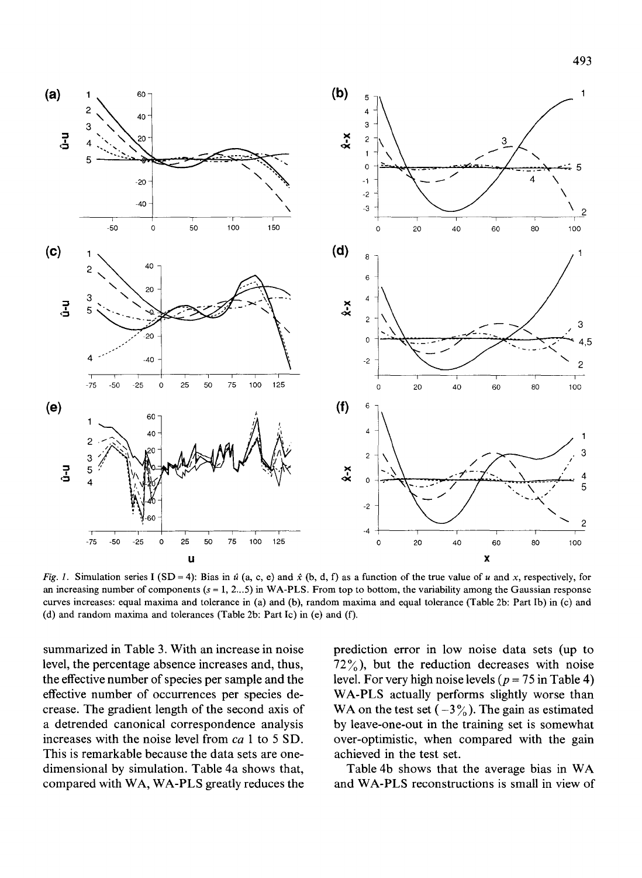

*Fig. 1.* Simulation series I (SD = 4): Bias in *a* (a, c, e) and  $\hat{x}$  (b, d, f) as a function of the true value of *u* and *x*, respectively, for an increasing number of components  $(s = 1, 2...5)$  in WA-PLS. From top to bottom, the variability among the Gaussian response curves increases: equal maxima and tolerance in (a) and (b), random maxima and equal tolerance (Table 2b: Part lb) in (c) and (d) and random maxima and tolerances (Table 2b: Part Ic) in (e) and (f).

summarized in Table 3. With an increase in noise level, the percentage absence increases and, thus, the effective number of species per sample and the effective number of occurrences per species decrease. The gradient length of the second axis of a detrended canonical correspondence analysis increases with the noise level from *ca* 1 to 5 SD. This is remarkable because the data sets are onedimensional by simulation. Table 4a shows that, compared with WA, WA-PLS greatly reduces the prediction error in low noise data sets (up to  $72\%$ ), but the reduction decreases with noise level. For very high noise levels  $(p = 75$  in Table 4) WA-PLS actually performs slightly worse than WA on the test set  $(-3\%)$ . The gain as estimated by leave-one-out in the training set is somewhat over-optimistic, when compared with the gain achieved in the test set.

Table 4b shows that the average bias in WA and WA-PLS reconstructions is small in view of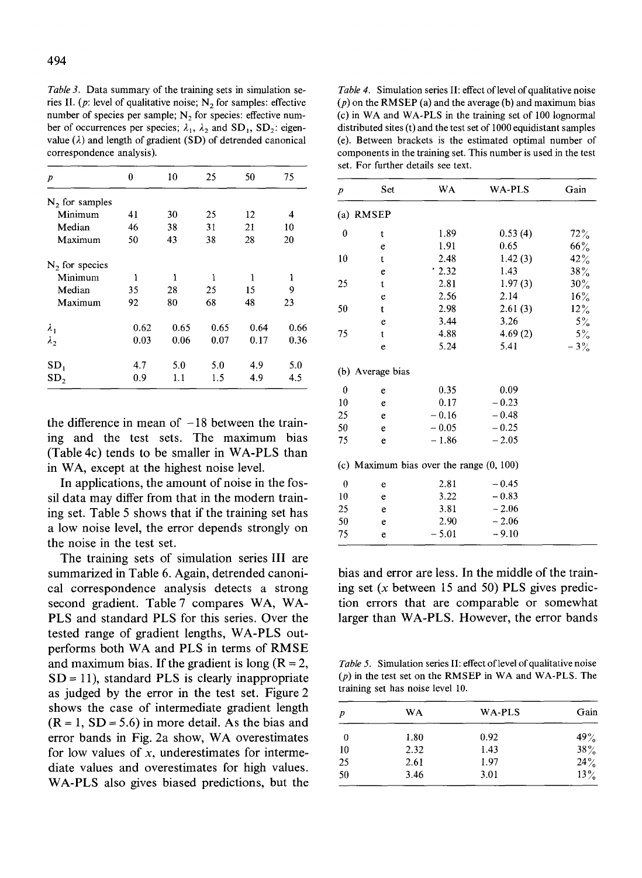*Table 3.* Data summary of the training sets in simulation series II. ( $p$ : level of qualitative noise;  $N<sub>2</sub>$  for samples: effective number of species per sample;  $N_2$  for species: effective number of occurrences per species;  $\lambda_1$ ,  $\lambda_2$  and SD<sub>1</sub>, SD<sub>2</sub>: eigenvalue  $(\lambda)$  and length of gradient (SD) of detrended canonical correspondence analysis).

| p                          | 0    | 10   | 25   | 50   | 75   |
|----------------------------|------|------|------|------|------|
| $N2$ , for samples         |      |      |      |      |      |
| Minimum                    | 41   | 30   | 25   | 12   | 4    |
| Median                     | 46   | 38   | 31   | 21   | 10   |
| Maximum                    | 50   | 43   | 38   | 28   | 20   |
| N <sub>2</sub> for species |      |      |      |      |      |
| Minimum                    | 1    | 1    | 1    | 1    | 1    |
| Median                     | 35   | 28   | 25   | 15   | 9    |
| Maximum                    | 92   | 80   | 68   | 48   | 23   |
| λ                          | 0.62 | 0.65 | 0.65 | 0.64 | 0.66 |
| $\lambda_2$                | 0.03 | 0.06 | 0.07 | 0.17 | 0.36 |
| SD <sub>1</sub>            | 4.7  | 5.0  | 5.0  | 4.9  | 5.0  |
| SD <sub>2</sub>            | 0.9  | 1.1  | 1.5  | 4.9  | 4.5  |

the difference in mean of  $-18$  between the training and the test sets. The maximum bias (Table 4c) tends to be smaller in WA-PLS than in WA, except at the highest noise level.

In applications, the amount of noise in the fossil data may differ from that in the modern training set. Table 5 shows that if the training set has a low noise level, the error depends strongly on the noise in the test set.

The training sets of simulation series III are summarized in Table 6. Again, detrended canonical correspondence analysis detects a strong second gradient. Table 7 compares WA, WA-PLS and standard PLS for this series. Over the tested range of gradient lengths, WA-PLS outperforms both WA and PLS in terms of RMSE and maximum bias. If the gradient is long  $(R = 2,$  $SD = 11$ ), standard PLS is clearly inappropriate as judged by the error in the test set. Figure 2 shows the case of intermediate gradient length  $(R = 1, SD = 5.6)$  in more detail. As the bias and error bands in Fig. 2a show, WA overestimates for low values of *x,* underestimates for intermediate values and overestimates for high values. WA-PLS also gives biased predictions, but the

*Table 4.* Simulation series II: effect of level of qualitative noise  $(p)$  on the RMSEP (a) and the average (b) and maximum bias (c) in WA and WA-PLS in the training set of 100 lognormal distributed sites (t) and the test set of 1000 equidistant samples (e). Between brackets is the estimated optimal number of components in the training set. This number is used in the test set. For further details see text.

| p                | Set<br>WA<br>WA-PLS |                                            |         | Gain   |
|------------------|---------------------|--------------------------------------------|---------|--------|
|                  | (a) RMSEP           |                                            |         |        |
| $\bf{0}$         | t                   | 1.89                                       | 0.53(4) | $72\%$ |
|                  | e                   | 1.91                                       | 0.65    | 66%    |
| 10               | t                   | 2.48                                       | 1.42(3) | 42%    |
|                  | e                   | .2.32                                      | 1.43    | 38%    |
| 25               | t                   | 2.81                                       | 1.97(3) | 30%    |
|                  | e                   | 2.56                                       | 2.14    | $16\%$ |
| 50               | t                   | 2.98                                       | 2.61(3) | $12\%$ |
|                  | $\epsilon$          | 3.44                                       | 3.26    | 5%     |
| 75               | t                   | 4.88                                       | 4.69(2) | $5\%$  |
|                  | e                   | 5.24                                       | 5.41    | $-3\%$ |
|                  | (b) Average bias    |                                            |         |        |
| $\boldsymbol{0}$ | e                   | 0.35                                       | 0.09    |        |
| 10               | $\epsilon$          | 0.17                                       | $-0.23$ |        |
| 25               | e                   | $-0.16$                                    | $-0.48$ |        |
| 50               | e                   | $-0.05$                                    | $-0.25$ |        |
| 75               | e                   | $-1.86$                                    | $-2.05$ |        |
|                  |                     | (c) Maximum bias over the range $(0, 100)$ |         |        |
| $\boldsymbol{0}$ | e                   | 2.81                                       | $-0.45$ |        |
| 10               | e                   | 3.22                                       | $-0.83$ |        |
| 25               | e                   | 3.81                                       | $-2.06$ |        |
| 50               | e                   | 2.90                                       | $-2.06$ |        |
| 75               | e                   | $-5.01$                                    | $-9.10$ |        |
|                  |                     |                                            |         |        |

bias and error are less. In the middle of the training set ( $x$  between 15 and 50) PLS gives prediction errors that are comparable or somewhat larger than WA-PLS. However, the error bands

*Table 5.* Simulation series II: effect of level of qualitative noise (p) in the test set on the RMSEP in WA and WA-PLS. The training set has noise level 10.

| p  | WA   | WA-PLS | Gain |
|----|------|--------|------|
| 0  | 1.80 | 0.92   | 49%  |
| 10 | 2.32 | 1.43   | 38%  |
| 25 | 2.61 | 1.97   | 24%  |
| 50 | 3.46 | 3.01   | 13%  |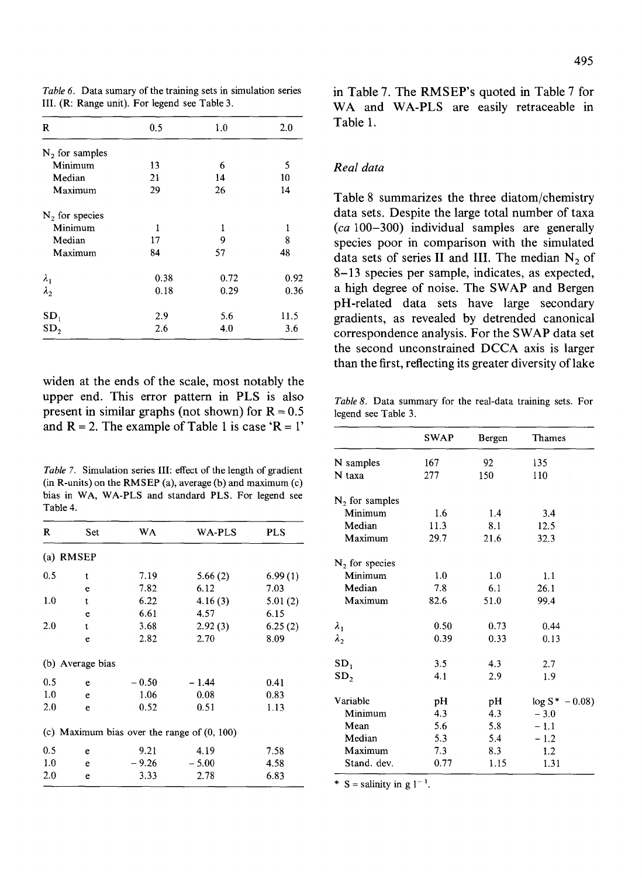| R                 | 0.5  | 1.0  | 2.0  |
|-------------------|------|------|------|
| $N_2$ for samples |      |      |      |
| Minimum           | 13   | 6    | 5    |
| Median            | 21   | 14   | 10   |
| Maximum           | 29   | 26   | 14   |
| $N2$ for species  |      |      |      |
| Minimum           | 1    | 1    | 1    |
| Median            | 17   | 9    | 8    |
| Maximum           | 84   | 57   | 48   |
| $\lambda_1$       | 0.38 | 0.72 | 0.92 |
| $\lambda_2$       | 0.18 | 0.29 | 0.36 |
| SD <sub>1</sub>   | 2.9  | 5.6  | 11.5 |
| SD <sub>2</sub>   | 2.6  | 4.0  | 3.6  |

*Table 6.* Data sumary of the training sets in simulation series III. (R: Range unit). For legend see Table 3.

widen at the ends of the scale, most notably the upper end. This error pattern in PLS is also present in similar graphs (not shown) for  $R = 0.5$ and  $R = 2$ . The example of Table 1 is case ' $R = 1$ '

*Table* 7. Simulation series III: effect of the length of gradient (in R-units) on the RMSEP (a), average (b) and maximum (c) bias in WA, WA-PLS and standard PLS. For legend see Table 4.

| R         | Set              | <b>WA</b> | WA-PLS                                        | <b>PLS</b> |
|-----------|------------------|-----------|-----------------------------------------------|------------|
| (a) RMSEP |                  |           |                                               |            |
| 0.5       | t                | 7.19      | 5.66(2)                                       | 6.99(1)    |
|           | e                | 7.82      | 6.12                                          | 7.03       |
| 1.0       | t                | 6.22      | 4.16(3)                                       | 5.01(2)    |
|           | e                | 6.61      | 4.57                                          | 6.15       |
| 2.0       | t.               | 3.68      | 2.92(3)                                       | 6.25(2)    |
|           | e                | 2.82      | 2.70                                          | 8.09       |
|           | (b) Average bias |           |                                               |            |
| 0.5       | e                | $-0.50$   | $-1.44$                                       | 0.41       |
| 1.0       | e                | 1.06      | 0.08                                          | 0.83       |
| 2.0       | e                | 0.52      | 0.51                                          | 1.13       |
|           |                  |           | (c) Maximum bias over the range of $(0, 100)$ |            |
| 0.5       | e                | 9.21      | 4.19                                          | 7.58       |
| 1.0       | e                | $-9.26$   | $-5.00$                                       | 4.58       |
| 2.0       | e                | 3.33      | 2.78                                          | 6.83       |

in Table 7. The RMSEP's quoted in Table 7 for WA and WA-PLS are easily retraceable in Table 1.

#### *Real data*

Table 8 summarizes the three diatom/chemistry data sets. Despite the large total number of taxa (ca 100-300) individual samples are generally species poor in comparison with the simulated data sets of series II and III. The median  $N_2$  of 8-13 species per sample, indicates, as expected, a high degree of noise. The SWAP and Bergen pH-related data sets have large secondary gradients, as revealed by detrended canonical correspondence analysis. For the SWAP data set the second unconstrained DCCA axis is larger than the first, reflecting its greater diversity of lake

*Table 8.* Data summary for the real-data training sets. For legend see Table 3.

|                   | <b>SWAP</b> | Bergen | Thames           |
|-------------------|-------------|--------|------------------|
| N samples         | 167         | 92     | 135              |
| N taxa            | 277         | 150    | 110              |
| $N_2$ for samples |             |        |                  |
| Minimum           | 1.6         | 1.4    | 3.4              |
| Median            | 11.3        | 8.1    | 12.5             |
| Maximum           | 29.7        | 21.6   | 32.3             |
| $N_2$ for species |             |        |                  |
| Minimum           | 1.0         | 1.0    | 1.1              |
| Median            | 7.8         | 6.1    | 26.1             |
| Maximum           | 82.6        | 51.0   | 99.4             |
| $\lambda_1$       | 0.50        | 0.73   | 0.44             |
| λ,                | 0.39        | 0.33   | 0.13             |
| SD <sub>1</sub>   | 3.5         | 4.3    | 2.7              |
| SD <sub>2</sub>   | 4.1         | 2.9    | 1.9              |
| Variable          | pН          | pН     | $log S^* - 0.08$ |
| Minimum           | 4.3         | 4.3    | $-3.0$           |
| Mean              | 5.6         | 5.8    | $-1.1$           |
| Median            | 5.3         | 5.4    | $-1.2$           |
| Maximum           | 7.3         | 8.3    | 1.2              |
| Stand. dev.       | 0.77        | 1.15   | 1.31             |
|                   |             |        |                  |

\* S = salinity in g  $1^{-1}$ .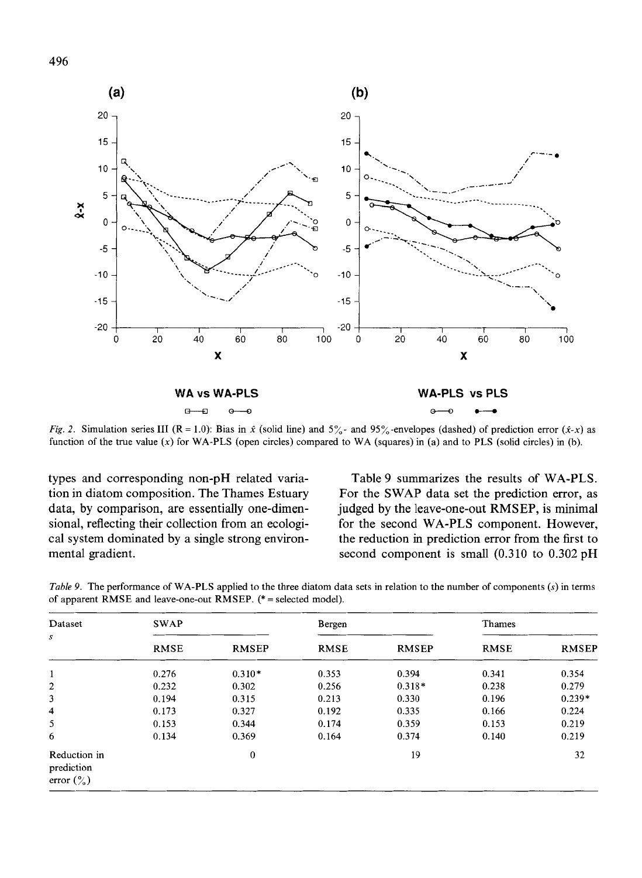

*Fig. 2.* Simulation series III (R = 1.0): Bias in  $\hat{x}$  (solid line) and  $5\%$ - and 95%-envelopes (dashed) of prediction error  $(\hat{x}-x)$  as function of the true value  $(x)$  for WA-PLS (open circles) compared to WA (squares) in (a) and to PLS (solid circles) in (b).

types and corresponding non-pH related variation in diatom composition. The Thames Estuary data, by comparison, are essentially one-dimensional, reflecting their collection from an ecological system dominated by a single strong environmental gradient.

Table 9 summarizes the results of WA-PLS. For the SWAP data set the prediction error, as judged by the leave-one-out RMSEP, is minimal for the second WA-PLS component. However, the reduction in prediction error from the first to second component is small (0.310 to 0.302 pH

| Table 9. The performance of WA-PLS applied to the three diatom data sets in relation to the number of components $(s)$ in terms |  |  |  |
|---------------------------------------------------------------------------------------------------------------------------------|--|--|--|
| of apparent RMSE and leave-one-out RMSEP. $(* = selected \text{ model})$ .                                                      |  |  |  |

| Dataset                                    | <b>SWAP</b> |              | Bergen      |              | Thames      |              |
|--------------------------------------------|-------------|--------------|-------------|--------------|-------------|--------------|
| s                                          | <b>RMSE</b> | <b>RMSEP</b> | <b>RMSE</b> | <b>RMSEP</b> | <b>RMSE</b> | <b>RMSEP</b> |
| $\mathbf{1}$                               | 0.276       | $0.310*$     | 0.353       | 0.394        | 0.341       | 0.354        |
| $\mathbf{2}$                               | 0.232       | 0.302        | 0.256       | $0.318*$     | 0.238       | 0.279        |
| 3                                          | 0.194       | 0.315        | 0.213       | 0.330        | 0.196       | $0.239*$     |
| 4                                          | 0.173       | 0.327        | 0.192       | 0.335        | 0.166       | 0.224        |
| 5                                          | 0.153       | 0.344        | 0.174       | 0.359        | 0.153       | 0.219        |
| 6                                          | 0.134       | 0.369        | 0.164       | 0.374        | 0.140       | 0.219        |
| Reduction in<br>prediction<br>error $(\%)$ |             | $\bf{0}$     |             | 19           |             | 32           |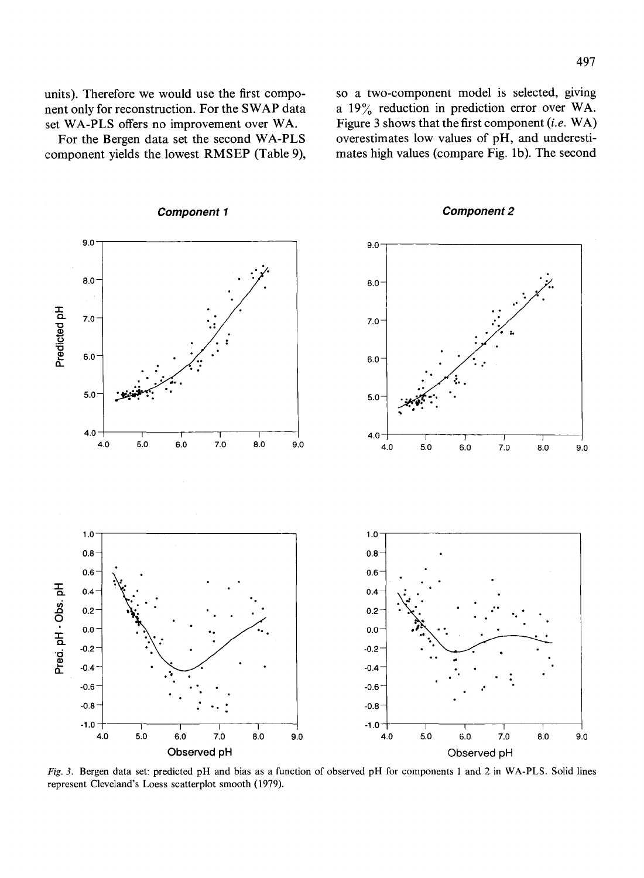units). Therefore we would use the first component only for reconstruction. For the SWAP data set WA-PLS offers no improvement over WA.

For the Bergen data set the second WA-PLS component yields the lowest RMSEP (Table 9),

 $\ddot{x}$ 

ui

 $\circ$ :c

 $\frac{1}{8}$   $-0.2$ 

-0.6

-1.0

4.0

 $\sum_{i=1}^{\infty}$   $\frac{1}{i}$   $\frac{1}{i}$   $\frac{1}{i}$   $\frac{1}{i}$   $\frac{1}{i}$   $\frac{1}{i}$   $\frac{1}{i}$   $\frac{1}{i}$   $\frac{1}{i}$   $\frac{1}{i}$   $\frac{1}{i}$   $\frac{1}{i}$   $\frac{1}{i}$   $\frac{1}{i}$   $\frac{1}{i}$   $\frac{1}{i}$   $\frac{1}{i}$   $\frac{1}{i}$   $\frac{1}{i}$   $\frac{1}{i}$   $\frac{1}{$ 

 $-0.8$   $\left.\begin{array}{ccc} \cdot & \cdot & \cdot \\ \cdot & \cdot & \cdot \end{array}\right.$ 

 $5.0$ 

so a two-component model is selected, giving a 19% reduction in prediction error over WA. Figure 3 shows that the first component (*i.e.* WA) overestimates low values of pH, and underestimates high values (compare Fig. lb). The second

**Component 1**  9.0 8.0  $\frac{a}{b}$  7.0  $\left| \begin{array}{ccc} 1 & 0 & \cdots \ 0 & 0 & \cdots \end{array} \right|$ redicte<br>'  $\sum_{i=1}^{n}$  6.0  $\frac{1}{i}$  ... 5.0  $4.0 +$ <br> $4.0 +$ 4.0 5.0 6.0 7.0 8.0 9.0 1.0 0.8 0.6 **:c**  a. 0.4 .0 0.2 0.0 a. *:*  9.0 8.0 7.0 6.0 5.0 4.0 1.0 0.8 0.6 0.4 0.2 0.0 ' 4.0 5.0 *.:* .  $\ddot{\cdot}$ .. **Component 2** .. .. . *: .*   $\leq$ ..  $\ddot{\phantom{0}}$ 6.0 7.0 8.0 9.0 · .



-0.2 -0.4 -0.6 -0.8 -1.0

4.0

5.0

.·

Observed pH

6.0 7.0 8.0 9.0

6.0 7.0 8.0 9.0

Observed pH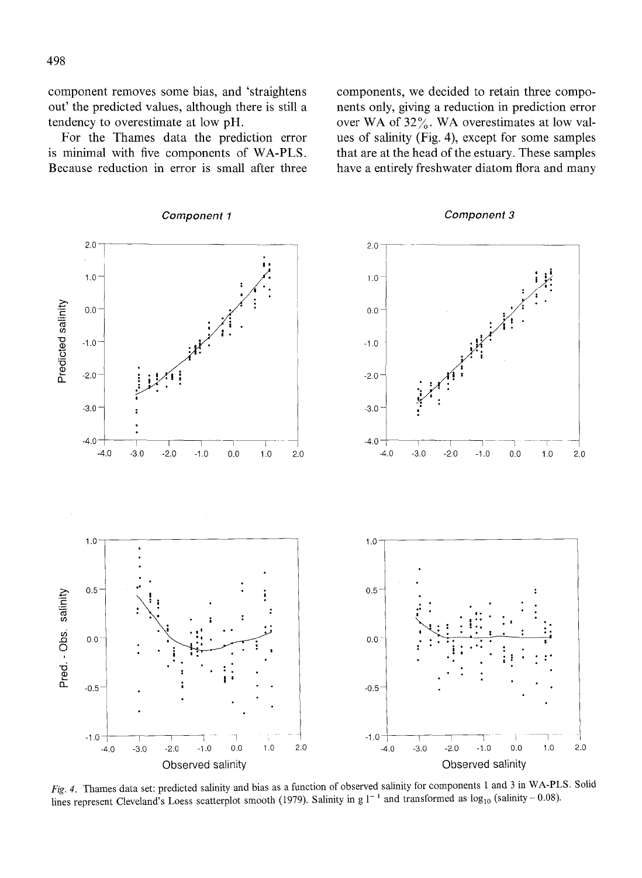component removes some bias, and 'straightens out' the predicted values, although there is still a tendency to overestimate at low pH.

For the Thames data the prediction error is minimal with five components of WA-PLS. Because reduction in error is small after three components, we decided to retain three components only, giving a reduction in prediction error over WA of  $32\%$ . WA overestimates at low values of salinity (Fig. 4), except for some samples that are at the head of the estuary. These samples have a entirely freshwater diatom flora and many



*Fig. 4.* Thames data set: predicted salinity and bias as a function of observed salinity for components 1 and 3 in WA-PLS. Solid lines represent Cleveland's Loess scatterplot smooth (1979). Salinity in g  $1^{-1}$  and transformed as log<sub>10</sub> (salinity - 0.08).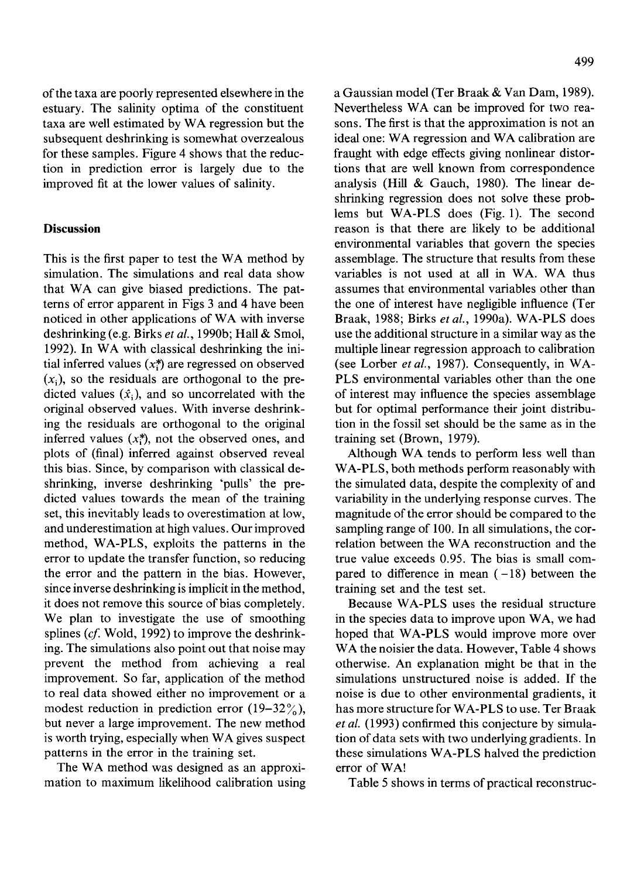of the taxa are poorly represented elsewhere in the estuary. The salinity optima of the constituent taxa are well estimated by WA regression but the subsequent deshrinking is somewhat overzealous for these samples. Figure 4 shows that the reduction in prediction error is largely due to the improved fit at the lower values of salinity.

## **Discussion**

This is the first paper to test the WA method by simulation. The simulations and real data show that WA can give biased predictions. The patterns of error apparent in Figs 3 and 4 have been noticed in other applications of WA with inverse deshrinking (e.g. Birks *et al.*, 1990b; Hall & Smol, 1992). In WA with classical deshrinking the initial inferred values  $(x<sub>i</sub><sup>*</sup>)$  are regressed on observed  $(x_i)$ , so the residuals are orthogonal to the predicted values  $(\hat{x}_i)$ , and so uncorrelated with the original observed values. With inverse deshrinking the residuals are orthogonal to the original inferred values  $(x<sub>i</sub><sup>*</sup>)$ , not the observed ones, and plots of (final) inferred against observed reveal this bias. Since, by comparison with classical deshrinking, inverse deshrinking 'pulls' the predicted values towards the mean of the training set, this inevitably leads to overestimation at low, and underestimation at high values. Our improved method, WA-PLS, exploits the patterns in the error to update the transfer function, so reducing the error and the pattern in the bias. However, since inverse deshrinking is implicit in the method, it does not remove this source of bias completely. We plan to investigate the use of smoothing splines (cf. Wold, 1992) to improve the deshrinking. The simulations also point out that noise may prevent the method from achieving a real improvement. So far, application of the method to real data showed either no improvement or a modest reduction in prediction error  $(19-32\%)$ , but never a large improvement. The new method is worth trying, especially when WA gives suspect patterns in the error in the training set.

The WA method was designed as an approximation to maximum likelihood calibration using a Gaussian model (Ter Braak & Van Dam, 1989). Nevertheless WA can be improved for two reasons. The first is that the approximation is not an ideal one: WA regression and WA calibration are fraught with edge effects giving nonlinear distortions that are well known from correspondence analysis (Hill & Gauch, 1980). The linear deshrinking regression does not solve these problems but WA-PLS does (Fig. 1). The second reason is that there are likely to be additional environmental variables that govern the species assemblage. The structure that results from these variables is not used at all in WA. WA thus assumes that environmental variables other than the one of interest have negligible influence (Ter Braak, 1988; Birks *eta/.,* 1990a). WA-PLS does use the additional structure in a similar way as the multiple linear regression approach to calibration (see Lorber *eta/.,* 1987). Consequently, in WA-PLS environmental variables other than the one of interest may influence the species assemblage but for optimal performance their joint distribution in the fossil set should be the same as in the training set (Brown, 1979).

Although WA tends to perform less well than WA-PLS, both methods perform reasonably with the simulated data, despite the complexity of and variability in the underlying response curves. The magnitude of the error should be compared to the sampling range of 100. In all simulations, the correlation between the WA reconstruction and the true value exceeds 0.95. The bias is small compared to difference in mean  $(-18)$  between the training set and the test set.

Because WA-PLS uses the residual structure in the species data to improve upon WA, we had hoped that WA-PLS would improve more over WA the noisier the data. However, Table 4 shows otherwise. An explanation might be that in the simulations unstructured noise is added. If the noise is due to other environmental gradients, it has more structure for WA-PLS to use. Ter Braak *eta/.* (1993) confirmed this conjecture by simulation of data sets with two underlying gradients. In these simulations WA-PLS halved the prediction error of WA!

Table 5 shows in terms of practical reconstruc-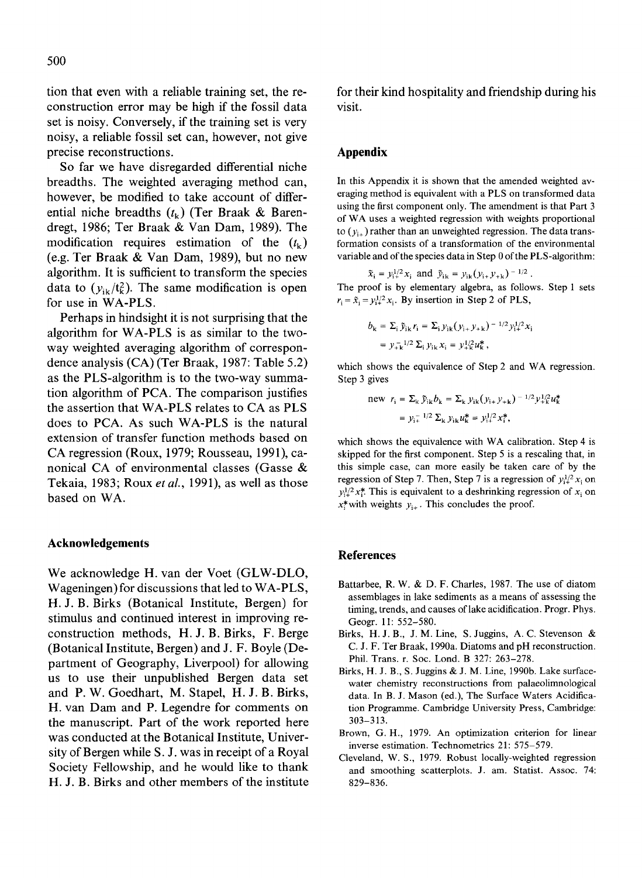tion that even with a reliable training set, the reconstruction error may be high if the fossil data set is noisy. Conversely, if the training set is very noisy, a reliable fossil set can, however, not give precise reconstructions.

So far we have disregarded differential niche breadths. The weighted averaging method can, however, be modified to take account of differential niche breadths  $(t_k)$  (Ter Braak & Barendregt, 1986; Ter Braak & Van Dam, 1989). The modification requires estimation of the  $(t_k)$ (e.g. Ter Braak & Van Dam, 1989), but no new algorithm. It is sufficient to transform the species data to  $(y_{ik}/t_k^2)$ . The same modification is open for use in WA-PLS.

Perhaps in hindsight it is not surprising that the algorithm for WA-PLS is as similar to the twoway weighted averaging algorithm of correspondence analysis (CA) (Ter Braak, 1987: Table 5.2) as the PLS-algorithm is to the two-way summation algorithm of PCA. The comparison justifies the assertion that WA-PLS relates to CA as PLS does to PCA. As such WA-PLS is the natural extension of transfer function methods based on CA regression (Roux, 1979; Rousseau, 1991), canonical CA of environmental classes (Gasse & Tekaia, 1983; Roux *eta!.,* 1991), as well as those based on WA.

## Acknowledgements

We acknowledge H. van der Voet (GLW-DLO, Wageningen) for discussions that led to WA-PLS, H. J. B. Birks (Botanical Institute, Bergen) for stimulus and continued interest in improving reconstruction methods, H. J. B. Birks, F. Berge (Botanical Institute, Bergen) and J. F. Boyle (Department of Geography, Liverpool) for allowing us to use their unpublished Bergen data set and P. W. Goedhart, M. Stapel, H. J. B. Birks, H. van Dam and P. Legendre for comments on the manuscript. Part of the work reported here was conducted at the Botanical Institute, University of Bergen while S. J. was in receipt of a Royal Society Fellowship, and he would like to thank H. J. B. Birks and other members of the institute for their kind hospitality and friendship during his visit.

## Appendix

In this Appendix it is shown that the amended weighted averaging method is equivalent with a PLS on transformed data using the first component only. The amendment is that Part 3 of WA uses a weighted regression with weights proportional to  $(y_{i+})$  rather than an unweighted regression. The data transformation consists of a transformation of the environmental variable and of the species data in Step 0 of the PLS-algorithm:

 $\tilde{x}_i = y_{i+}^{1/2} x_i$  and  $\tilde{y}_{ik} = y_{ik}(y_{i+}y_{+k})^{-1/2}$ . The proof is by elementary algebra, as follows. Step 1 sets  $r_i = \tilde{x}_i = y_i^{1/2} x_i$ . By insertion in Step 2 of PLS,

$$
b_{k} = \sum_{i} \tilde{y}_{ik} r_{i} = \sum_{i} y_{ik} (y_{i+} y_{+k})^{-1/2} y_{i+}^{1/2} x_{i}
$$
  
=  $y_{+k}^{-1/2} \sum_{i} y_{ik} x_{i} = y_{+k}^{1/2} u_{k}^{*}$ ,

which shows the equivalence of Step 2 and WA regression. Step 3 gives

new 
$$
r_i = \sum_k \tilde{y}_{ik} b_k = \sum_k y_{ik} (y_{i+} y_{+k})^{-1/2} y_{+k}^{1/2} u_k^*
$$
  
=  $y_{i+}^{-1/2} \sum_k y_{ik} u_k^* = y_{i+}^{1/2} x_i^*$ ,

which shows the equivalence with WA calibration. Step 4 is skipped for the first component. Step 5 is a rescaling that, in this simple case, can more easily be taken care of by the regression of Step 7. Then, Step 7 is a regression of  $y_1^{1/2}x_1$  on  $y_1^{1/2}$  x<sup>\*</sup>. This is equivalent to a deshrinking regression of x<sub>i</sub> on  $x_i^*$  with weights  $y_{i+}$ . This concludes the proof.

#### References

- Battarbee, R. W. & D. F. Charles, 1987. The use of diatom assemblages in lake sediments as a means of assessing the timing, trends, and causes of lake acidification. Progr. Phys. Geogr. 11: 552-580.
- Birks, H. J. B., J. M. Line, S. Juggins, A. C. Stevenson & C. J. F. Ter Braak, 1990a. Diatoms and pH reconstruction. Phil. Trans. r. Soc. Lond. B 327: 263-278.
- Birks, H. J. B., S. Juggins & J. M. Line, 1990b. Lake surfacewater chemistry reconstructions from palaeolimnological data. In B. J. Mason (ed.), The Surface Waters Acidification Programme. Cambridge University Press, Cambridge: 303-313.
- Brown, G. H., 1979. An optimization criterion for linear inverse estimation. Technometrics 21: 575-579.
- Cleveland, W. S., 1979. Robust locally-weighted regression and smoothing scatterplots. J. am. Statist. Assoc. 74: 829-836.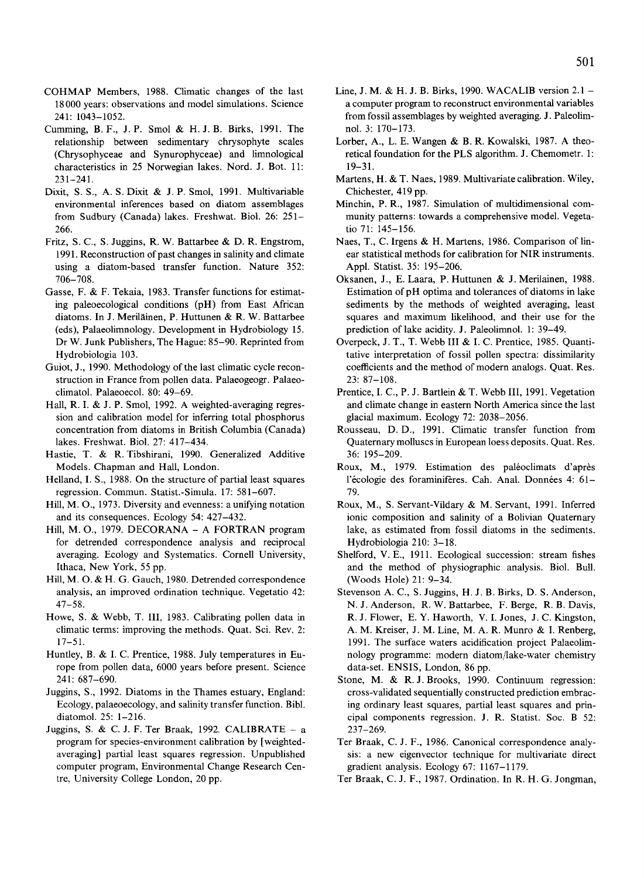- COHMAP Members, 1988. Climatic changes of the last 18000 years: observations and model simulations. Science 241: 1043-1052.
- Cumming, B. F., J.P. Smol & H. J. B. Birks, 1991. The relationship between sedimentary chrysophyte scales (Chrysophyceae and Synurophyceae) and limnological characteristics in 25 Norwegian lakes. Nord. J. Bot. 11: 231-241.
- Dixit, S. S., A. S. Dixit & J.P. Smol, 1991. Multivariable environmental inferences based on diatom assemblages from Sudbury (Canada) lakes. Freshwat. Bioi. 26: 251- 266.
- Fritz, S. C., S. Juggins, R. W. Battarbee & D. R. Engstrom, 1991. Reconstruction of past changes in salinity and climate using a diatom-based transfer function. Nature 352: 706-708.
- Gasse, F. & F. Tekaia, 1983. Transfer functions for estimating paleoecological conditions (pH) from East African diatoms. In J. Meriläinen, P. Huttunen & R. W. Battarbee (eds), Palaeolimnology. Development in Hydrobiology 15. Dr W. Junk Publishers, The Hague: 85-90. Reprinted from Hydrobiologia 103.
- Guiot, J., 1990. Methodology of the last climatic cycle reconstruction in France from pollen data. Palaeogeogr. Palaeoclimatol. Palaeoecol. 80: 49-69.
- Hall, R.I. & J.P. Smol, 1992. A weighted-averaging regression and calibration model for inferring total phosphorus concentration from diatoms in British Columbia (Canada) lakes. Freshwat. Biol. 27: 417-434.
- Hastie, T. & R. Tibshirani, 1990. Generalized Additive Models. Chapman and Hall, London.
- Helland, I. S., 1988. On the structure of partial least squares regression. Commun. Statist.-Simula. 17: 581-607.
- Hill, M. 0., 1973. Diversity and evenness: a unifying notation and its consequences. Ecology 54: 427-432.
- Hill, M. 0., 1979. DECORANA- A FORTRAN program for detrended correspondence analysis and reciprocal averaging. Ecology and Systematics. Cornell University, Ithaca, New York, 55 pp.
- Hill, M. 0. & H. G. Gauch, 1980. Detrended correspondence analysis, an improved ordination technique. Vegetatio 42: 47-58.
- Howe, S. & Webb, T. Ill, 1983. Calibrating pollen data in climatic terms: improving the methods. Quat. Sci. Rev. 2: 17-51.
- Huntley, B. & I. C. Prentice, 1988. July temperatures in Europe from pollen data, 6000 years before present. Science 241: 687-690.
- Juggins, S., 1992. Diatoms in the Thames estuary, England: Ecology, palaeoecology, and salinity transfer function. Bib!. diatomol. 25: 1-216.
- Juggins, S. & C. J. F. Ter Braak, 1992. CALIBRATE  $-$  a program for species-environment calibration by [weightedaveraging] partial least squares regression. Unpublished computer program, Environmental Change Research Centre, University College London, 20 pp.
- Line, J. M. & H. J. B. Birks, 1990. WACALIB version 2.1 a computer program to reconstruct environmental variables from fossil assemblages by weighted averaging. J. Paleolimnol. 3: 170-173.
- Lorber, A., L. E. Wangen & B. R. Kowalski, 1987. A theoretical foundation for the PLS algorithm. J. Chemometr. 1: 19-31.
- Martens, H. & T. Naes, 1989. Multivariate calibration. Wiley, Chichester, 419 pp.
- Minchin, P.R., 1987. Simulation of multidimensional community patterns: towards a comprehensive model. Vegetatio 71: 145-156.
- Naes, T., C. Irgens & H. Martens, 1986. Comparison of linear statistical methods for calibration for NIR instruments. Appl. Statist. 35: 195-206.
- Oksanen, J., E. Laara, P. Huttunen & J. Merilainen, 1988. Estimation of pH optima and tolerances of diatoms in lake sediments by the methods of weighted averaging, least squares and maximum likelihood, and their use for the prediction of lake acidity. J. Paleolimnol. 1: 39-49.
- Overpeck, J. T., T. Webb Ill & I. C. Prentice, 1985. Quantitative interpretation of fossil pollen spectra: dissimilarity coefficients and the method of modern analogs. Quat. Res. 23: 87-108.
- Prentice, I. C., P. J. Bartlein & T. Webb Ill, 1991. Vegetation and climate change in eastern North America since the last glacial maximum. Ecology 72: 2038-2056.
- Rousseau, D. D., 1991. Climatic transfer function from Quaternary molluscs in European loess deposits. Quat. Res. 36: 195-209.
- Roux, M., 1979. Estimation des paleoclimats d'apres l'écologie des foraminifères. Cah. Anal. Données 4: 61-79.
- Roux, M., S. Servant-Vildary & M. Servant, 1991. Inferred ionic composition and salinity of a Bolivian Quaternary lake, as estimated from fossil diatoms in the sediments. Hydrobiologia 210: 3-18.
- Shelford, V. E., 1911. Ecological succession: stream fishes and the method of physiographic analysis. Bioi. Bull. (Woods Hole) 21: 9-34.
- Stevenson A. C., S. Juggins, H. J. B. Birks, D. S. Anderson, N.J. Anderson, R. W. Battarbee, F. Berge, R. B. Davis, R. J. Flower, E. Y. Haworth, V.I. Jones, J. C. Kingston, A.M. Kreiser, J. M. Line, M.A. R. Munro & I. Renberg, 1991. The surface waters acidification project Palaeolimnology programme: modern diatom/lake-water chemistry data-set. EN SIS, London, 86 pp.
- Stone, M. & R. J. Brooks, 1990. Continuum regression: cross-validated sequentially constructed prediction embracing ordinary least squares, partial least squares and principal components regression. J. R. Statist. Soc. B 52: 237-269.
- Ter Braak, C. J. F., 1986. Canonical correspondence analysis: a new eigenvector technique for multivariate direct gradient analysis. Ecology 67: 1167-1179.
- Ter Braak, C. J. F., 1987. Ordination. In R. H. G. Jongman,